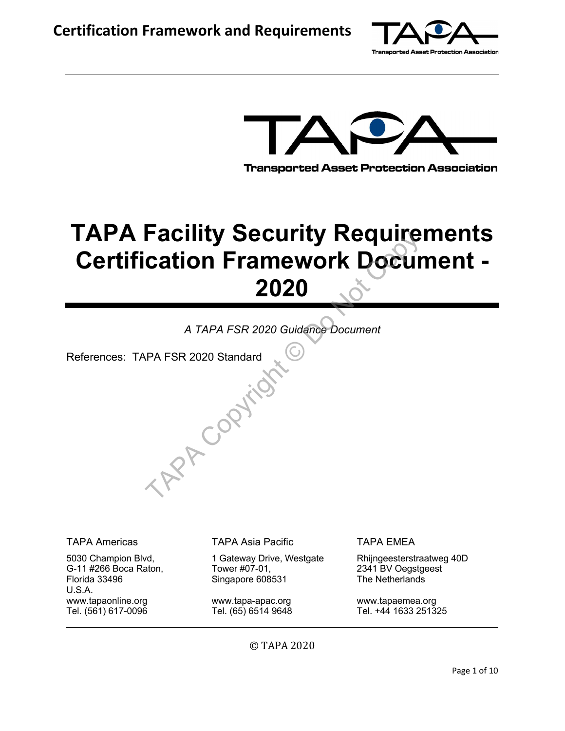



## **TAPA Facility Security Requirements Certification Framework Document - 2020**

*A TAPA FSR 2020 Guidance Document* 

References: TAPA FSR 2020 Standard TAP Copyright

5030 Champion Blvd, G-11 #266 Boca Raton, Florida 33496 U.S.A. www.tapaonline.org Tel. (561) 617-0096

TAPA Americas TAPA Asia Pacific TAPA EMEA

1 Gateway Drive, Westgate Tower #07-01, Singapore 608531

www.tapa-apac.org Tel. (65) 6514 9648

Rhijngeesterstraatweg 40D 2341 BV Oegstgeest The Netherlands

www.tapaemea.org Tel. +44 1633 251325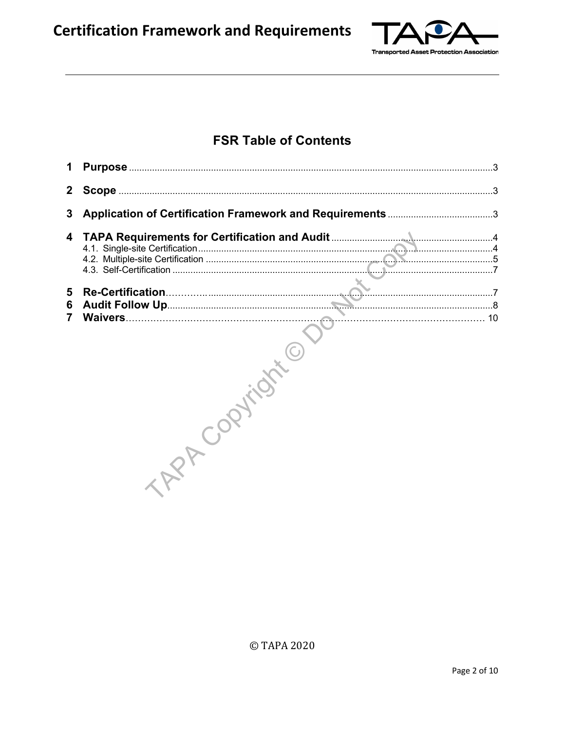

### **FSR Table of Contents**

| 1           |  |
|-------------|--|
|             |  |
| 3           |  |
| 4           |  |
| 5<br>6<br>7 |  |

© TAPA 2020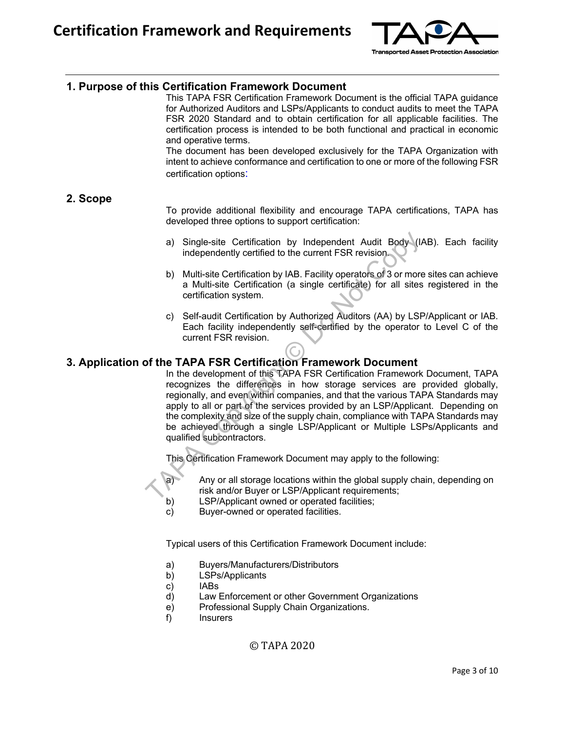

#### **1. Purpose of this Certification Framework Document**

This TAPA FSR Certification Framework Document is the official TAPA guidance for Authorized Auditors and LSPs/Applicants to conduct audits to meet the TAPA FSR 2020 Standard and to obtain certification for all applicable facilities. The certification process is intended to be both functional and practical in economic and operative terms.

The document has been developed exclusively for the TAPA Organization with intent to achieve conformance and certification to one or more of the following FSR certification options:

#### **2. Scope**

To provide additional flexibility and encourage TAPA certifications, TAPA has developed three options to support certification:

- a) Single-site Certification by Independent Audit Body (IAB). Each facility independently certified to the current FSR revision.
- b) Multi-site Certification by IAB. Facility operators of 3 or more sites can achieve a Multi-site Certification (a single certificate) for all sites registered in the certification system.
- c) Self-audit Certification by Authorized Auditors (AA) by LSP/Applicant or IAB. Each facility independently self-certified by the operator to Level C of the current FSR revision.

#### **3. Application of the TAPA FSR Certification Framework Document**

In the development of this TAPA FSR Certification Framework Document, TAPA recognizes the differences in how storage services are provided globally, regionally, and even within companies, and that the various TAPA Standards may apply to all or part of the services provided by an LSP/Applicant. Depending on the complexity and size of the supply chain, compliance with TAPA Standards may be achieved through a single LSP/Applicant or Multiple LSPs/Applicants and qualified subcontractors. The Simple-site Certification by Independent Audit Body (*i*<br>
independently certification by IAB. Facility operators of 3 or more<br>
a Multi-site Certification (a single certificate) for all sites<br>
certification system.<br>
c)

This Certification Framework Document may apply to the following:



- a) Any or all storage locations within the global supply chain, depending on risk and/or Buyer or LSP/Applicant requirements;
- b) LSP/Applicant owned or operated facilities;
- c) Buyer-owned or operated facilities.

Typical users of this Certification Framework Document include:

- a) Buyers/Manufacturers/Distributors
- b) LSPs/Applicants
- c) IABs
- d) Law Enforcement or other Government Organizations
- e) Professional Supply Chain Organizations.
- f) Insurers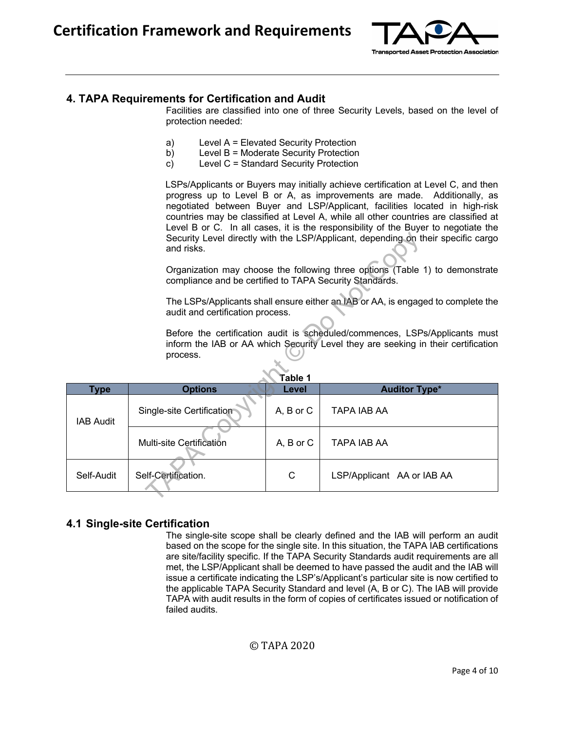

#### **4. TAPA Requirements for Certification and Audit**

Facilities are classified into one of three Security Levels, based on the level of protection needed:

- a) Level A = Elevated Security Protection
- b) Level B = Moderate Security Protection
- c) Level C = Standard Security Protection

LSPs/Applicants or Buyers may initially achieve certification at Level C, and then progress up to Level B or A, as improvements are made. Additionally, as negotiated between Buyer and LSP/Applicant, facilities located in high-risk countries may be classified at Level A, while all other countries are classified at Level B or C. In all cases, it is the responsibility of the Buyer to negotiate the Security Level directly with the LSP/Applicant, depending on their specific cargo and risks.

|                                                                                                                                                                                         | and risks.                |           | Security Level directly with the LSP/Applicant, depending on their specific cargo |  |  |  |  |
|-----------------------------------------------------------------------------------------------------------------------------------------------------------------------------------------|---------------------------|-----------|-----------------------------------------------------------------------------------|--|--|--|--|
| Organization may choose the following three options (Table 1) to demonstrate<br>compliance and be certified to TAPA Security Standards.                                                 |                           |           |                                                                                   |  |  |  |  |
| The LSPs/Applicants shall ensure either an IAB or AA, is engaged to complete the<br>audit and certification process.                                                                    |                           |           |                                                                                   |  |  |  |  |
| Before the certification audit is scheduled/commences, LSPs/Applicants must<br>inform the IAB or AA which Security Level they are seeking in their certification<br>process.<br>Table 1 |                           |           |                                                                                   |  |  |  |  |
| Type                                                                                                                                                                                    | <b>Options</b>            | Level     | <b>Auditor Type*</b>                                                              |  |  |  |  |
| <b>IAB Audit</b>                                                                                                                                                                        | Single-site Certification | A, B or C | TAPA IAB AA                                                                       |  |  |  |  |
|                                                                                                                                                                                         | Multi-site Certification  | A, B or C | TAPA IAB AA                                                                       |  |  |  |  |
| Self-Audit                                                                                                                                                                              | Self-Certification.       | С         | LSP/Applicant AA or IAB AA                                                        |  |  |  |  |
|                                                                                                                                                                                         |                           |           |                                                                                   |  |  |  |  |

#### **4.1 Single-site Certification**

The single-site scope shall be clearly defined and the IAB will perform an audit based on the scope for the single site. In this situation, the TAPA IAB certifications are site/facility specific. If the TAPA Security Standards audit requirements are all met, the LSP/Applicant shall be deemed to have passed the audit and the IAB will issue a certificate indicating the LSP's/Applicant's particular site is now certified to the applicable TAPA Security Standard and level (A, B or C). The IAB will provide TAPA with audit results in the form of copies of certificates issued or notification of failed audits.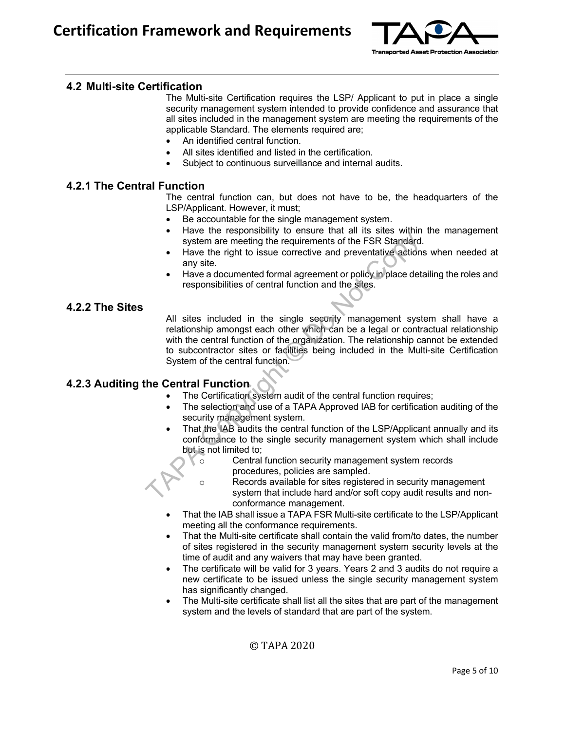

#### **4.2 Multi-site Certification**

The Multi-site Certification requires the LSP/ Applicant to put in place a single security management system intended to provide confidence and assurance that all sites included in the management system are meeting the requirements of the applicable Standard. The elements required are;

- An identified central function.
- All sites identified and listed in the certification.
- Subject to continuous surveillance and internal audits.

#### **4.2.1 The Central Function**

The central function can, but does not have to be, the headquarters of the LSP/Applicant. However, it must;

- Be accountable for the single management system.
- Have the responsibility to ensure that all its sites within the management system are meeting the requirements of the FSR Standard.
- Have the right to issue corrective and preventative actions when needed at any site.
- Have a documented formal agreement or policy in place detailing the roles and responsibilities of central function and the sites.

#### **4.2.2 The Sites**

All sites included in the single security management system shall have a relationship amongst each other which can be a legal or contractual relationship with the central function of the organization. The relationship cannot be extended to subcontractor sites or facilities being included in the Multi-site Certification System of the central function. System are meeting the requirements of the FSR Standard.<br>
The system are meeting the requirements of the FSR Standard.<br>
The system are meeting the requirements of the FSR Standard.<br>
The valocumented formal agreement or pol

#### **4.2.3 Auditing the Central Function**

- The Certification system audit of the central function requires;
- The selection and use of a TAPA Approved IAB for certification auditing of the security management system.
- That the IAB audits the central function of the LSP/Applicant annually and its conformance to the single security management system which shall include but is not limited to;
	- o Central function security management system records procedures, policies are sampled.
	- o Records available for sites registered in security management system that include hard and/or soft copy audit results and nonconformance management.
- That the IAB shall issue a TAPA FSR Multi-site certificate to the LSP/Applicant meeting all the conformance requirements.
- That the Multi-site certificate shall contain the valid from/to dates, the number of sites registered in the security management system security levels at the time of audit and any waivers that may have been granted.
- The certificate will be valid for 3 years. Years 2 and 3 audits do not require a new certificate to be issued unless the single security management system has significantly changed.
- The Multi-site certificate shall list all the sites that are part of the management system and the levels of standard that are part of the system.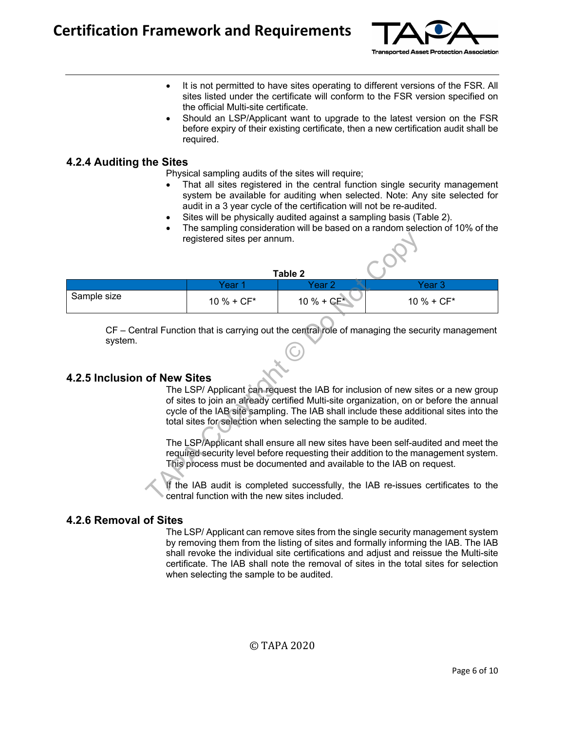

- It is not permitted to have sites operating to different versions of the FSR. All sites listed under the certificate will conform to the FSR version specified on the official Multi-site certificate.
- Should an LSP/Applicant want to upgrade to the latest version on the FSR before expiry of their existing certificate, then a new certification audit shall be required.

#### **4.2.4 Auditing the Sites**

Physical sampling audits of the sites will require;

- That all sites registered in the central function single security management system be available for auditing when selected. Note: Any site selected for audit in a 3 year cycle of the certification will not be re-audited.
- Sites will be physically audited against a sampling basis (Table 2).
- The sampling consideration will be based on a random selection of 10% of the registered sites per annum.

| registered sites per annum.                                                                                                                                                                                                                                                                                                               |                                                                                                 |               |               |  |  |  |  |
|-------------------------------------------------------------------------------------------------------------------------------------------------------------------------------------------------------------------------------------------------------------------------------------------------------------------------------------------|-------------------------------------------------------------------------------------------------|---------------|---------------|--|--|--|--|
|                                                                                                                                                                                                                                                                                                                                           |                                                                                                 | Table 2       |               |  |  |  |  |
|                                                                                                                                                                                                                                                                                                                                           | Year 1                                                                                          | Year 2        | Year 3        |  |  |  |  |
| Sample size                                                                                                                                                                                                                                                                                                                               | $10 \% + CF*$                                                                                   | $10 \% + CF'$ | $10 \% + CF*$ |  |  |  |  |
| system.                                                                                                                                                                                                                                                                                                                                   | CF – Central Function that is carrying out the central role of managing the security management |               |               |  |  |  |  |
| 4.2.5 Inclusion of New Sites                                                                                                                                                                                                                                                                                                              |                                                                                                 |               |               |  |  |  |  |
| The LSP/ Applicant can request the IAB for inclusion of new sites or a new group<br>of sites to join an already certified Multi-site organization, on or before the annual<br>cycle of the IAB site sampling. The IAB shall include these additional sites into the<br>total sites for selection when selecting the sample to be audited. |                                                                                                 |               |               |  |  |  |  |
| The LSP/Applicant shall ensure all new sites have been self-audited and meet the<br>required security level before requesting their addition to the management system.<br>This process must be documented and available to the IAB on request.                                                                                            |                                                                                                 |               |               |  |  |  |  |
| If the IAB audit is completed successfully, the IAB re-issues certificates to the<br>central function with the new sites included.                                                                                                                                                                                                        |                                                                                                 |               |               |  |  |  |  |

#### **4.2.5 Inclusion of New Sites**

#### **4.2.6 Removal of Sites**

The LSP/ Applicant can remove sites from the single security management system by removing them from the listing of sites and formally informing the IAB. The IAB shall revoke the individual site certifications and adjust and reissue the Multi-site certificate. The IAB shall note the removal of sites in the total sites for selection when selecting the sample to be audited.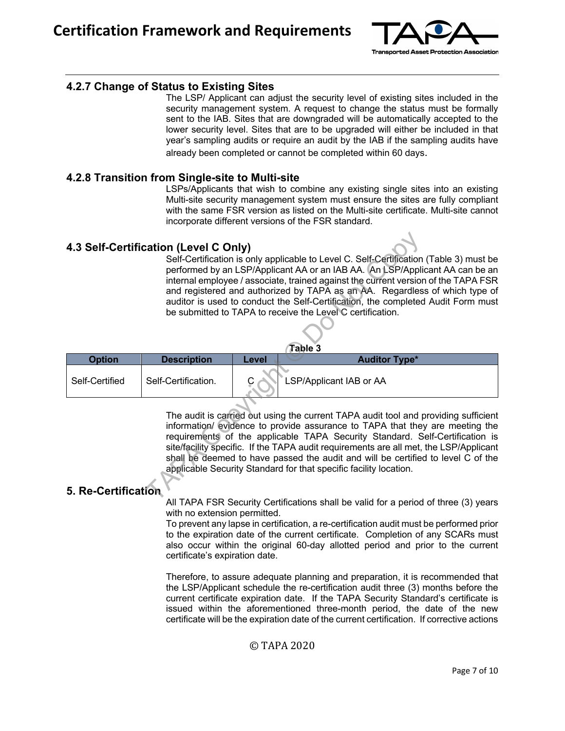

#### **4.2.7 Change of Status to Existing Sites**

The LSP/ Applicant can adjust the security level of existing sites included in the security management system. A request to change the status must be formally sent to the IAB. Sites that are downgraded will be automatically accepted to the lower security level. Sites that are to be upgraded will either be included in that year's sampling audits or require an audit by the IAB if the sampling audits have already been completed or cannot be completed within 60 days.

#### **4.2.8 Transition from Single-site to Multi-site**

LSPs/Applicants that wish to combine any existing single sites into an existing Multi-site security management system must ensure the sites are fully compliant with the same FSR version as listed on the Multi-site certificate. Multi-site cannot incorporate different versions of the FSR standard.

#### **4.3 Self-Certification (Level C Only)**

Self-Certification is only applicable to Level C. Self-Certification (Table 3) must be performed by an LSP/Applicant AA or an IAB AA. An LSP/Applicant AA can be an internal employee / associate, trained against the current version of the TAPA FSR and registered and authorized by TAPA as an AA. Regardless of which type of auditor is used to conduct the Self-Certification, the completed Audit Form must be submitted to TAPA to receive the Level C certification. **COMPANDIC COMPUTE:**<br>
Self-Certification is only applicable to Level C. Self-Certification<br>
performed by an LSP/Applicant AA or an IAB AA. An LSP/Appli<br>
internal employee / associate, trained against the current version<br>
a

| Table 3        |                     |       |                         |  |
|----------------|---------------------|-------|-------------------------|--|
| <b>Option</b>  | <b>Description</b>  | Level | <b>Auditor Type*</b>    |  |
| Self-Certified | Self-Certification. |       | LSP/Applicant IAB or AA |  |

The audit is carried out using the current TAPA audit tool and providing sufficient information/ evidence to provide assurance to TAPA that they are meeting the requirements of the applicable TAPA Security Standard. Self-Certification is site/facility specific. If the TAPA audit requirements are all met, the LSP/Applicant shall be deemed to have passed the audit and will be certified to level C of the applicable Security Standard for that specific facility location.

#### **5. Re-Certification**

All TAPA FSR Security Certifications shall be valid for a period of three (3) years with no extension permitted.

To prevent any lapse in certification, a re-certification audit must be performed prior to the expiration date of the current certificate. Completion of any SCARs must also occur within the original 60-day allotted period and prior to the current certificate's expiration date.

Therefore, to assure adequate planning and preparation, it is recommended that the LSP/Applicant schedule the re-certification audit three (3) months before the current certificate expiration date. If the TAPA Security Standard's certificate is issued within the aforementioned three-month period, the date of the new certificate will be the expiration date of the current certification. If corrective actions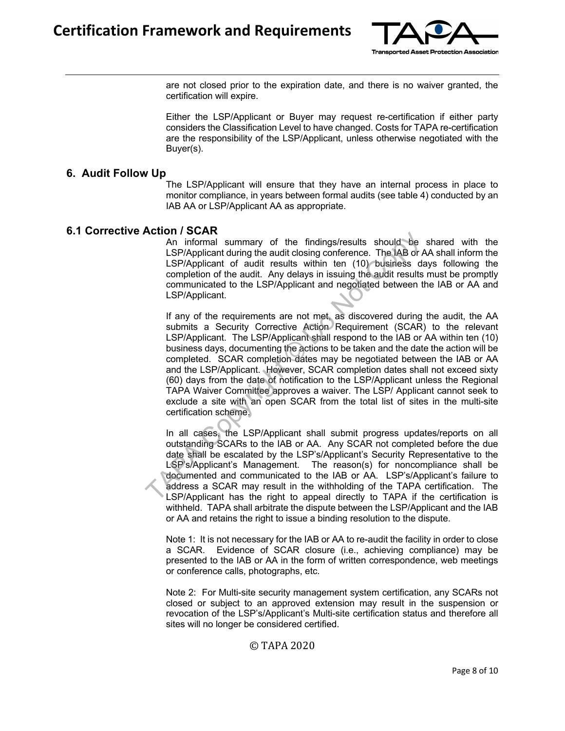

are not closed prior to the expiration date, and there is no waiver granted, the certification will expire.

Either the LSP/Applicant or Buyer may request re-certification if either party considers the Classification Level to have changed. Costs for TAPA re-certification are the responsibility of the LSP/Applicant, unless otherwise negotiated with the Buyer(s).

#### **6. Audit Follow Up**

The LSP/Applicant will ensure that they have an internal process in place to monitor compliance, in years between formal audits (see table 4) conducted by an IAB AA or LSP/Applicant AA as appropriate.

#### **6.1 Corrective Action / SCAR**

An informal summary of the findings/results should be shared with the LSP/Applicant during the audit closing conference. The IAB or AA shall inform the LSP/Applicant of audit results within ten (10) business days following the completion of the audit. Any delays in issuing the audit results must be promptly communicated to the LSP/Applicant and negotiated between the IAB or AA and LSP/Applicant.

If any of the requirements are not met, as discovered during the audit, the AA submits a Security Corrective Action Requirement (SCAR) to the relevant LSP/Applicant. The LSP/Applicant shall respond to the IAB or AA within ten (10) business days, documenting the actions to be taken and the date the action will be completed. SCAR completion dates may be negotiated between the IAB or AA and the LSP/Applicant. However, SCAR completion dates shall not exceed sixty (60) days from the date of notification to the LSP/Applicant unless the Regional TAPA Waiver Committee approves a waiver. The LSP/ Applicant cannot seek to exclude a site with an open SCAR from the total list of sites in the multi-site certification scheme. **ACCOMPT SCART**<br>An informal summary of the findings/results should be<br>LSP/Applicant during the audit closing conference. The AB or<br>ISP/Applicant of audit results within ten (10) business do<br>compution of the audit. Any dela

In all cases, the LSP/Applicant shall submit progress updates/reports on all outstanding SCARs to the IAB or AA. Any SCAR not completed before the due date shall be escalated by the LSP's/Applicant's Security Representative to the LSP's/Applicant's Management. The reason(s) for noncompliance shall be documented and communicated to the IAB or AA. LSP's/Applicant's failure to address a SCAR may result in the withholding of the TAPA certification. The LSP/Applicant has the right to appeal directly to TAPA if the certification is withheld. TAPA shall arbitrate the dispute between the LSP/Applicant and the IAB or AA and retains the right to issue a binding resolution to the dispute.

Note 1: It is not necessary for the IAB or AA to re-audit the facility in order to close a SCAR. Evidence of SCAR closure (i.e., achieving compliance) may be presented to the IAB or AA in the form of written correspondence, web meetings or conference calls, photographs, etc.

Note 2: For Multi-site security management system certification, any SCARs not closed or subject to an approved extension may result in the suspension or revocation of the LSP's/Applicant's Multi-site certification status and therefore all sites will no longer be considered certified.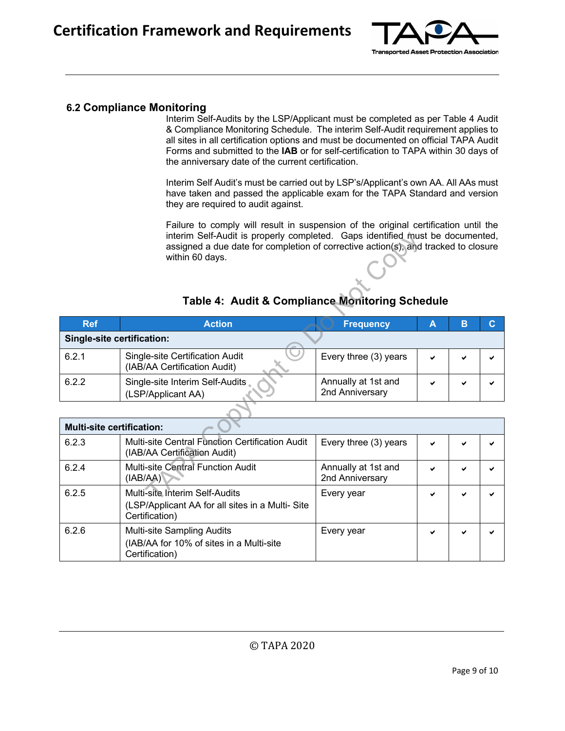

#### **6.2 Compliance Monitoring**

Interim Self-Audits by the LSP/Applicant must be completed as per Table 4 Audit & Compliance Monitoring Schedule. The interim Self-Audit requirement applies to all sites in all certification options and must be documented on official TAPA Audit Forms and submitted to the **IAB** or for self-certification to TAPA within 30 days of the anniversary date of the current certification.

Interim Self Audit's must be carried out by LSP's/Applicant's own AA. All AAs must have taken and passed the applicable exam for the TAPA Standard and version they are required to audit against.

Failure to comply will result in suspension of the original certification until the interim Self-Audit is properly completed. Gaps identified must be documented, assigned a due date for completion of corrective action(s), and tracked to closure within 60 days.

| interim Self-Audit is properly completed. Gaps identified must be documented,<br>assigned a due date for completion of corrective action(s), and tracked to closure<br>within 60 days.<br>Table 4: Audit & Compliance Monitoring Schedule |                                                                                 |                                        |   |   |   |  |  |  |
|-------------------------------------------------------------------------------------------------------------------------------------------------------------------------------------------------------------------------------------------|---------------------------------------------------------------------------------|----------------------------------------|---|---|---|--|--|--|
| <b>Ref</b>                                                                                                                                                                                                                                | <b>Action</b>                                                                   | <b>Frequency</b>                       | A | B | C |  |  |  |
| Single-site certification:                                                                                                                                                                                                                |                                                                                 |                                        |   |   |   |  |  |  |
| 6.2.1                                                                                                                                                                                                                                     | Single-site Certification Audit<br>(IAB/AA Certification Audit)                 | Every three (3) years                  |   | ◡ |   |  |  |  |
| 6.2.2                                                                                                                                                                                                                                     | Single-site Interim Self-Audits<br>(LSP/Applicant AA)                           | Annually at 1st and<br>2nd Anniversary |   |   |   |  |  |  |
|                                                                                                                                                                                                                                           |                                                                                 |                                        |   |   |   |  |  |  |
| <b>Multi-site certification:</b>                                                                                                                                                                                                          |                                                                                 |                                        |   |   |   |  |  |  |
| 6.2.3                                                                                                                                                                                                                                     | Multi-site Central Function Certification Audit<br>(IAB/AA Certification Audit) | Every three (3) years                  |   |   |   |  |  |  |
| 6.2.4                                                                                                                                                                                                                                     | Multi-site Central Function Audit<br>(IAB/AA)                                   | Annually at 1st and<br>2nd Anniversary |   |   |   |  |  |  |
| 6.2.5                                                                                                                                                                                                                                     | Multi-site Interim Self-Audits                                                  | Every year                             |   |   |   |  |  |  |

#### **Table 4: Audit & Compliance Monitoring Schedule**

| <b>Multi-site certification:</b> |                                                                                                     |                                        |   |              |   |  |  |
|----------------------------------|-----------------------------------------------------------------------------------------------------|----------------------------------------|---|--------------|---|--|--|
| 6.2.3                            | Multi-site Central Function Certification Audit<br>(IAB/AA Certification Audit)                     | Every three (3) years                  | ✔ | $\checkmark$ | ✔ |  |  |
| 6.2.4                            | <b>Multi-site Central Function Audit</b><br>(IAB/AA)                                                | Annually at 1st and<br>2nd Anniversary | ✔ | ✔            | ✔ |  |  |
| 6.2.5                            | Multi-site Interim Self-Audits<br>(LSP/Applicant AA for all sites in a Multi-Site<br>Certification) | Every year                             | ✔ | ✔            | ✔ |  |  |
| 6.2.6                            | Multi-site Sampling Audits<br>(IAB/AA for 10% of sites in a Multi-site<br>Certification)            | Every year                             | ✔ | ✔            | ✔ |  |  |